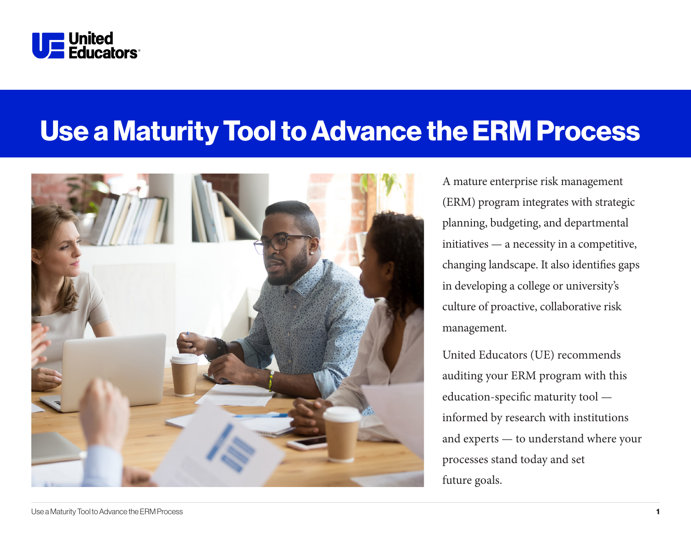

# Use a Maturity Tool to Advance the ERM Process



A mature enterprise risk management (ERM) program integrates with strategic planning, budgeting, and departmental initiatives — a necessity in a competitive, changing landscape. It also identifies gaps in developing a college or university's culture of proactive, collaborative risk management.

United Educators (UE) recommends auditing your ERM program with this education-specific maturity tool informed by research with institutions and experts — to understand where your processes stand today and set future goals.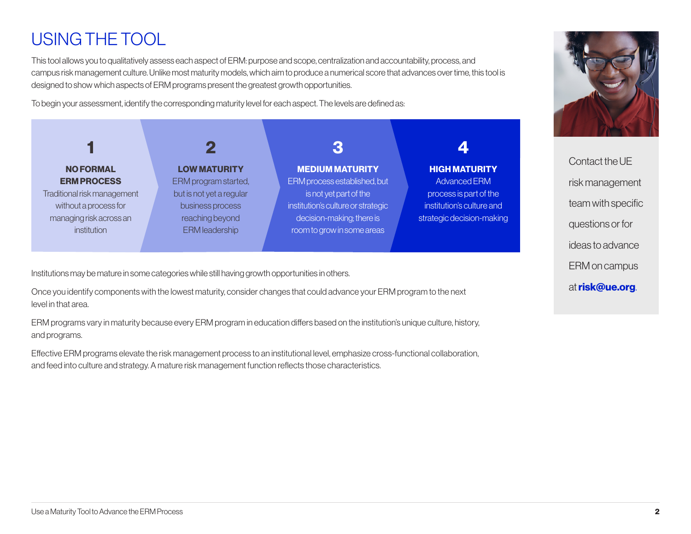# USING THE TOOL

This tool allows you to qualitatively assess each aspect of ERM: purpose and scope, centralization and accountability, process, and campus risk management culture. Unlike most maturity models, which aim to produce a numerical score that advances over time, this tool is designed to show which aspects of ERM programs present the greatest growth opportunities.

To begin your assessment, identify the corresponding maturity level for each aspect. The levels are defined as:

| <b>NO FORMAL</b><br><b>ERM PROCESS</b><br>Traditional risk management<br>without a process for<br>managing risk across an<br><i>institution</i> | <b>LOW MATURITY</b><br>ERM program started,<br>but is not yet a regular<br>business process<br>reaching beyond<br><b>ERM</b> leadership | <b>MEDIUM MATURITY</b><br>ERM process established, but<br>is not yet part of the<br>institution's culture or strategic<br>decision-making; there is<br>room to grow in some areas | <b>HIGH MATURITY</b><br><b>Advanced ERM</b><br>process is part of the<br>institution's culture and<br>strategic decision-making |
|-------------------------------------------------------------------------------------------------------------------------------------------------|-----------------------------------------------------------------------------------------------------------------------------------------|-----------------------------------------------------------------------------------------------------------------------------------------------------------------------------------|---------------------------------------------------------------------------------------------------------------------------------|

Institutions may be mature in some categories while still having growth opportunities in others.

Once you identify components with the lowest maturity, consider changes that could advance your ERM program to the next level in that area.

ERM programs vary in maturity because every ERM program in education differs based on the institution's unique culture, history, and programs.

Effective ERM programs elevate the risk management process to an institutional level, emphasize cross-functional collaboration, and feed into culture and strategy. A mature risk management function reflects those characteristics.



Contact the UE risk management team with specific questions or for ideas to advance ERM on campus at risk@ue.org.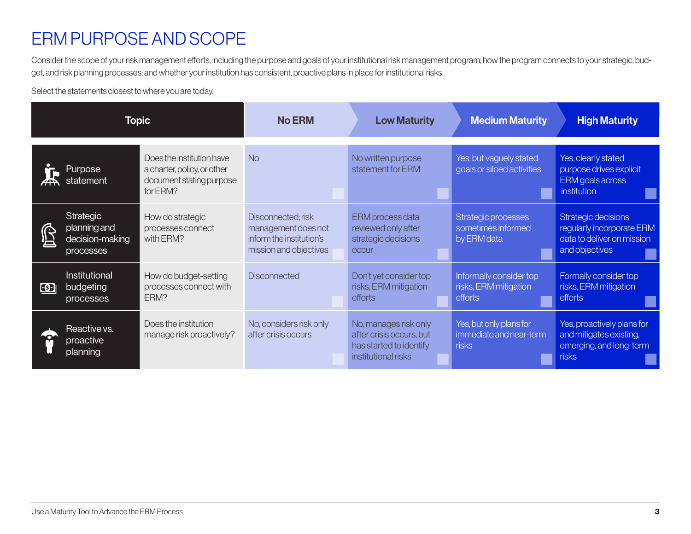### ERM PURPOSE AND SCOPE

Consider the scope of your risk management efforts, including the purpose and goals of your institutional risk management program; how the program connects to your strategic, budget, and risk planning processes; and whether your institution has consistent, proactive plans in place for institutional risks.

Select the statements closest to where you are today.

| <b>Topic</b>                |                                                           | <b>No ERM</b>                                                                                    | <b>Low Maturity</b>                                                                             | <b>Medium Maturity</b>                                                                              | <b>High Maturity</b>                                        |                                                                                                  |
|-----------------------------|-----------------------------------------------------------|--------------------------------------------------------------------------------------------------|-------------------------------------------------------------------------------------------------|-----------------------------------------------------------------------------------------------------|-------------------------------------------------------------|--------------------------------------------------------------------------------------------------|
|                             | <b>Purpose</b><br>statement                               | Does the institution have<br>a charter, policy, or other<br>document stating purpose<br>for ERM? | <b>No</b>                                                                                       | No written purpose<br>statement for ERM                                                             | Yes, but vaguely stated<br>goals or siloed activities       | Yes, clearly stated<br>purpose drives explicit<br>ERM goals across<br><i>institution</i>         |
| Ŝ                           | Strategic<br>planning and<br>decision-making<br>processes | How do strategic<br>processes connect<br>with ERM?                                               | Disconnected; risk<br>management does not<br>inform the institution's<br>mission and objectives | ERM process data<br>reviewed only after<br>strategic decisions<br><b>OCCUr</b>                      | Strategic processes<br>sometimes informed<br>by ERM data    | Strategic decisions<br>regularly incorporate ERM<br>data to deliver on mission<br>and objectives |
| $\left  \mathbf{G} \right $ | Institutional<br>budgeting<br>processes                   | How do budget-setting<br>processes connect with<br>ERM?                                          | <b>Disconnected</b>                                                                             | Don't yet consider top<br>risks, ERM mitigation<br>efforts                                          | Informally consider top<br>risks, ERM mitigation<br>efforts | Formally consider top<br>risks, ERM mitigation<br>efforts                                        |
|                             | Reactive vs.<br>proactive<br>planning                     | Does the institution<br>manage risk proactively?                                                 | No, considers risk only<br>after crisis occurs                                                  | No, manages risk only<br>after crisis occurs, but<br>has started to identify<br>institutional risks | Yes, but only plans for<br>immediate and near-term<br>risks | Yes, proactively plans for<br>and mitigates existing,<br>emerging, and long-term<br>risks        |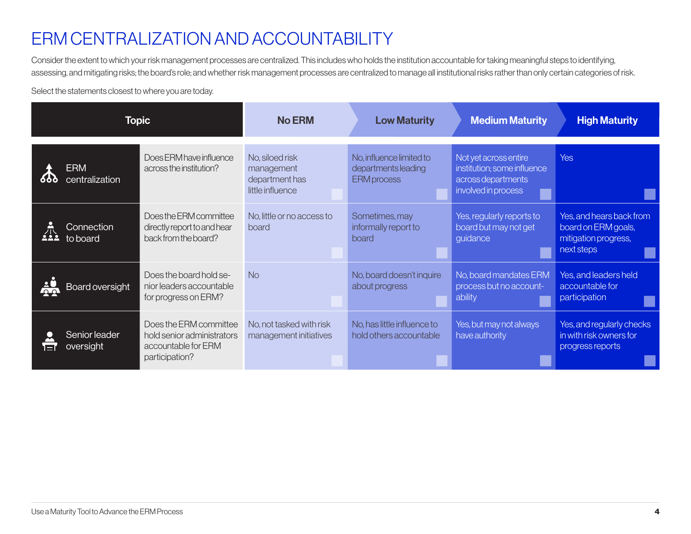### ERM CENTRALIZATION AND ACCOUNTABILITY

Consider the extent to which your risk management processes are centralized. This includes who holds the institution accountable for taking meaningful steps to identifying, assessing, and mitigating risks; the board's role; and whether risk management processes are centralized to manage all institutional risks rather than only certain categories of risk.

Select the statements closest to where you are today.

| <b>Topic</b>    |                              | <b>No ERM</b>                                                                                 | <b>Low Maturity</b>                                                 | <b>Medium Maturity</b>                                                | <b>High Maturity</b>                                                                              |                                                                                       |
|-----------------|------------------------------|-----------------------------------------------------------------------------------------------|---------------------------------------------------------------------|-----------------------------------------------------------------------|---------------------------------------------------------------------------------------------------|---------------------------------------------------------------------------------------|
| 666             | <b>ERM</b><br>centralization | Does ERM have influence<br>across the institution?                                            | No, siloed risk<br>management<br>department has<br>little influence | No, influence limited to<br>departments leading<br><b>ERM</b> process | Not yet across entire<br>institution; some influence<br>across departments<br>involved in process | <b>Yes</b>                                                                            |
| 杀<br><u>ааа</u> | Connection<br>to board       | Does the ERM committee<br>directly report to and hear<br>back from the board?                 | No, little or no access to<br>board                                 | Sometimes, may<br>informally report to<br>board                       | Yes, regularly reports to<br>board but may not get<br>guidance                                    | Yes, and hears back from<br>board on ERM goals,<br>mitigation progress,<br>next steps |
| $\frac{1}{2}$   | Board oversight              | Does the board hold se-<br>nior leaders accountable<br>for progress on ERM?                   | <b>No</b>                                                           | No, board doesn't inquire<br>about progress                           | No, board mandates ERM<br>process but no account-<br>ability                                      | Yes, and leaders held<br>accountable for<br>participation                             |
| E               | Senior leader<br>oversight   | Does the ERM committee<br>hold senior administrators<br>accountable for ERM<br>participation? | No, not tasked with risk<br>management initiatives                  | No, has little influence to<br>hold others accountable                | Yes, but may not always<br>have authority                                                         | Yes, and regularly checks<br>in with risk owners for<br>progress reports              |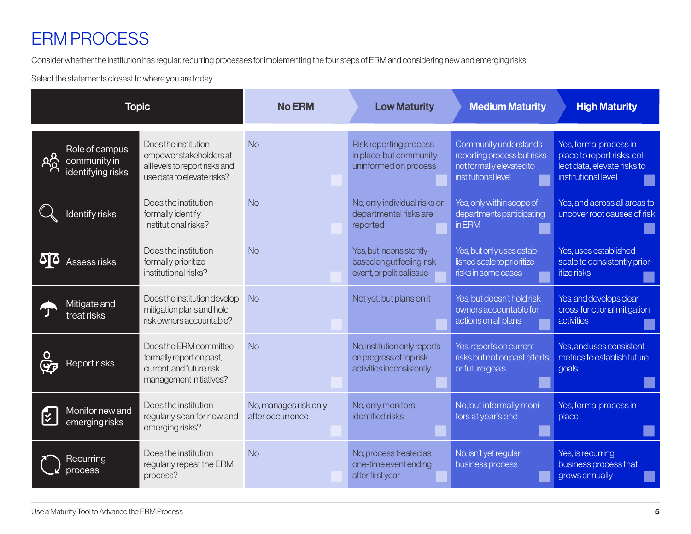# ERM PROCESS

Consider whether the institution has regular, recurring processes for implementing the four steps of ERM and considering new and emerging risks.

Select the statements closest to where you are today.

| <b>Topic</b>                                                |                                                                                                                 | <b>No ERM</b>                             | <b>Low Maturity</b>                                                                  | <b>Medium Maturity</b>                                                                                  | <b>High Maturity</b>                                                                                        |
|-------------------------------------------------------------|-----------------------------------------------------------------------------------------------------------------|-------------------------------------------|--------------------------------------------------------------------------------------|---------------------------------------------------------------------------------------------------------|-------------------------------------------------------------------------------------------------------------|
| Role of campus<br>දිරි<br>community in<br>identifying risks | Does the institution<br>empower stakeholders at<br>all levels to report risks and<br>use data to elevate risks? | <b>No</b>                                 | Risk reporting process<br>in place, but community<br>uninformed on process           | Community understands<br>reporting process but risks<br>not formally elevated to<br>institutional level | Yes, formal process in<br>place to report risks, col-<br>lect data, elevate risks to<br>institutional level |
| Identify risks                                              | Does the institution<br>formally identify<br>institutional risks?                                               | <b>No</b>                                 | No, only individual risks or<br>departmental risks are<br>reported                   | Yes, only within scope of<br>departments participating<br><b>in ERM</b>                                 | Yes, and across all areas to<br>uncover root causes of risk                                                 |
| Assess risks                                                | Does the institution<br>formally prioritize<br>institutional risks?                                             | <b>No</b>                                 | Yes, but inconsistently<br>based on gut feeling, risk<br>event, or political issue   | Yes, but only uses estab-<br>lished scale to prioritize<br>risks in some cases                          | Yes, uses established<br>scale to consistently prior-<br>itize risks                                        |
| Mitigate and<br>treat risks                                 | Does the institution develop<br>mitigation plans and hold<br>risk owners accountable?                           | <b>No</b>                                 | Not yet, but plans on it                                                             | Yes, but doesn't hold risk<br>owners accountable for<br>actions on all plans                            | Yes, and develops clear<br>cross-functional mitigation<br>activities                                        |
| Report risks                                                | Does the ERM committee<br>formally report on past,<br>current, and future risk<br>management initiatives?       | <b>No</b>                                 | No, institution only reports<br>on progress of top risk<br>activities inconsistently | Yes, reports on current<br>risks but not on past efforts<br>or future goals                             | Yes, and uses consistent<br>metrics to establish future<br>goals                                            |
| Monitor new and<br><u>रि</u><br>१<br>emerging risks         | Does the institution<br>regularly scan for new and<br>emerging risks?                                           | No, manages risk only<br>after occurrence | No, only monitors<br>identified risks                                                | No, but informally moni-<br>tors at year's end                                                          | Yes, formal process in<br>place                                                                             |
| Recurring<br>orocess                                        | Does the institution<br>regularly repeat the ERM<br>process?                                                    | <b>No</b>                                 | No, process treated as<br>one-time event ending<br>after first year                  | No, isn't yet regular<br>business process                                                               | Yes, is recurring<br>business process that<br>grows annually                                                |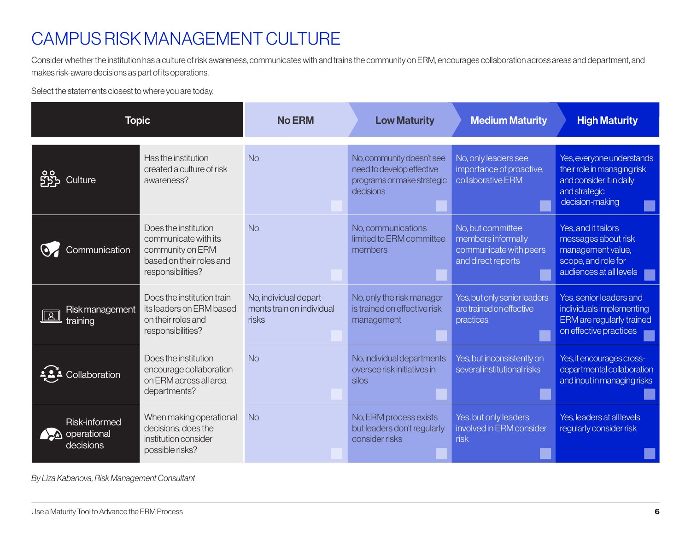### CAMPUS RISK MANAGEMENT CULTURE

Consider whether the institution has a culture of risk awareness, communicates with and trains the community on ERM, encourages collaboration across areas and department, and makes risk-aware decisions as part of its operations.

Select the statements closest to where you are today.

| <b>Topic</b>                              |                                                                                                                   | <b>No ERM</b>                                                | <b>Low Maturity</b>                                                                               | <b>Medium Maturity</b>                                                                  | <b>High Maturity</b>                                                                                                     |
|-------------------------------------------|-------------------------------------------------------------------------------------------------------------------|--------------------------------------------------------------|---------------------------------------------------------------------------------------------------|-----------------------------------------------------------------------------------------|--------------------------------------------------------------------------------------------------------------------------|
| Culture                                   | Has the institution<br>created a culture of risk<br>awareness?                                                    | <b>No</b>                                                    | No, community doesn't see<br>need to develop effective<br>programs or make strategic<br>decisions | No, only leaders see<br>importance of proactive,<br>collaborative ERM                   | Yes, everyone understands<br>their role in managing risk<br>and consider it in daily<br>and strategic<br>decision-making |
| Communication                             | Does the institution<br>communicate with its<br>community on ERM<br>based on their roles and<br>responsibilities? | <b>No</b>                                                    | No communications<br>limited to ERM committee<br>members                                          | No, but committee<br>members informally<br>communicate with peers<br>and direct reports | Yes, and it tailors<br>messages about risk<br>management value,<br>scope, and role for<br>audiences at all levels        |
| Risk management<br>training               | Does the institution train<br>its leaders on ERM based<br>on their roles and<br>responsibilities?                 | No, individual depart-<br>ments train on individual<br>risks | No, only the risk manager<br>is trained on effective risk<br>management                           | Yes, but only senior leaders<br>are trained on effective<br>practices                   | Yes, senior leaders and<br>individuals implementing<br><b>ERM</b> are regularly trained<br>on effective practices        |
| Collaboration                             | Does the institution<br>encourage collaboration<br>on ERM across all area<br>departments?                         | <b>No</b>                                                    | No, individual departments<br>oversee risk initiatives in<br>silos                                | Yes, but inconsistently on<br>several institutional risks                               | Yes, it encourages cross-<br>departmental collaboration<br>and input in managing risks                                   |
| Risk-informed<br>operational<br>decisions | When making operational<br>decisions, does the<br>institution consider<br>possible risks?                         | <b>No</b>                                                    | No, ERM process exists<br>but leaders don't regularly<br>consider risks                           | Yes, but only leaders<br>involved in ERM consider<br>risk                               | Yes, leaders at all levels<br>regularly consider risk                                                                    |

*By Liza Kabanova, Risk Management Consultant*